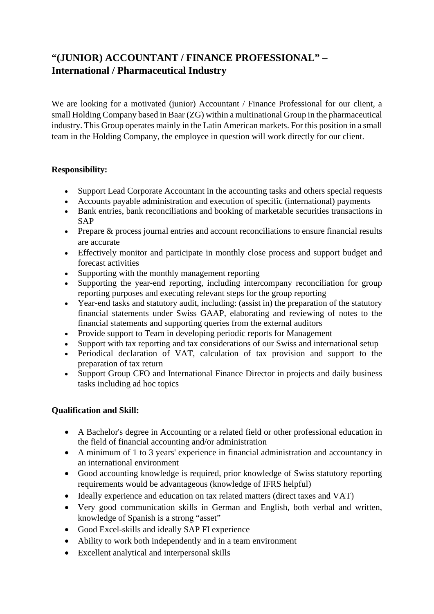## **"(JUNIOR) ACCOUNTANT / FINANCE PROFESSIONAL" – International / Pharmaceutical Industry**

We are looking for a motivated (junior) Accountant / Finance Professional for our client, a small Holding Company based in Baar (ZG) within a multinational Group in the pharmaceutical industry. This Group operates mainly in the Latin American markets. For this position in a small team in the Holding Company, the employee in question will work directly for our client.

## **Responsibility:**

- Support Lead Corporate Accountant in the accounting tasks and others special requests
- Accounts payable administration and execution of specific (international) payments
- Bank entries, bank reconciliations and booking of marketable securities transactions in SAP
- Prepare & process journal entries and account reconciliations to ensure financial results are accurate
- Effectively monitor and participate in monthly close process and support budget and forecast activities
- Supporting with the monthly management reporting
- Supporting the year-end reporting, including intercompany reconciliation for group reporting purposes and executing relevant steps for the group reporting
- Year-end tasks and statutory audit, including: (assist in) the preparation of the statutory financial statements under Swiss GAAP, elaborating and reviewing of notes to the financial statements and supporting queries from the external auditors
- Provide support to Team in developing periodic reports for Management
- Support with tax reporting and tax considerations of our Swiss and international setup
- Periodical declaration of VAT, calculation of tax provision and support to the preparation of tax return
- Support Group CFO and International Finance Director in projects and daily business tasks including ad hoc topics

## **Qualification and Skill:**

- A Bachelor's degree in Accounting or a related field or other professional education in the field of financial accounting and/or administration
- A minimum of 1 to 3 years' experience in financial administration and accountancy in an international environment
- Good accounting knowledge is required, prior knowledge of Swiss statutory reporting requirements would be advantageous (knowledge of IFRS helpful)
- Ideally experience and education on tax related matters (direct taxes and VAT)
- Very good communication skills in German and English, both verbal and written, knowledge of Spanish is a strong "asset"
- Good Excel-skills and ideally SAP FI experience
- Ability to work both independently and in a team environment
- Excellent analytical and interpersonal skills